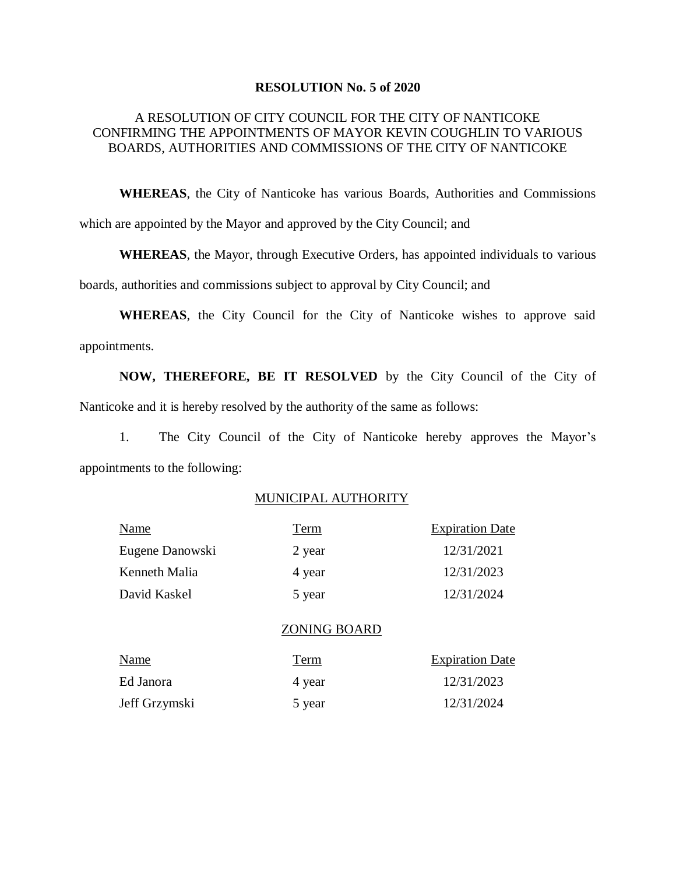#### **RESOLUTION No. 5 of 2020**

### A RESOLUTION OF CITY COUNCIL FOR THE CITY OF NANTICOKE CONFIRMING THE APPOINTMENTS OF MAYOR KEVIN COUGHLIN TO VARIOUS BOARDS, AUTHORITIES AND COMMISSIONS OF THE CITY OF NANTICOKE

**WHEREAS**, the City of Nanticoke has various Boards, Authorities and Commissions which are appointed by the Mayor and approved by the City Council; and

**WHEREAS**, the Mayor, through Executive Orders, has appointed individuals to various

boards, authorities and commissions subject to approval by City Council; and

**WHEREAS**, the City Council for the City of Nanticoke wishes to approve said appointments.

**NOW, THEREFORE, BE IT RESOLVED** by the City Council of the City of Nanticoke and it is hereby resolved by the authority of the same as follows:

1. The City Council of the City of Nanticoke hereby approves the Mayor's appointments to the following:

### MUNICIPAL AUTHORITY

| Name            | Term   | <b>Expiration Date</b> |
|-----------------|--------|------------------------|
| Eugene Danowski | 2 year | 12/31/2021             |
| Kenneth Malia   | 4 year | 12/31/2023             |
| David Kaskel    | 5 year | 12/31/2024             |
|                 |        |                        |

#### ZONING BOARD

| Name          | Term   | <b>Expiration Date</b> |
|---------------|--------|------------------------|
| Ed Janora     | 4 year | 12/31/2023             |
| Jeff Grzymski | 5 year | 12/31/2024             |